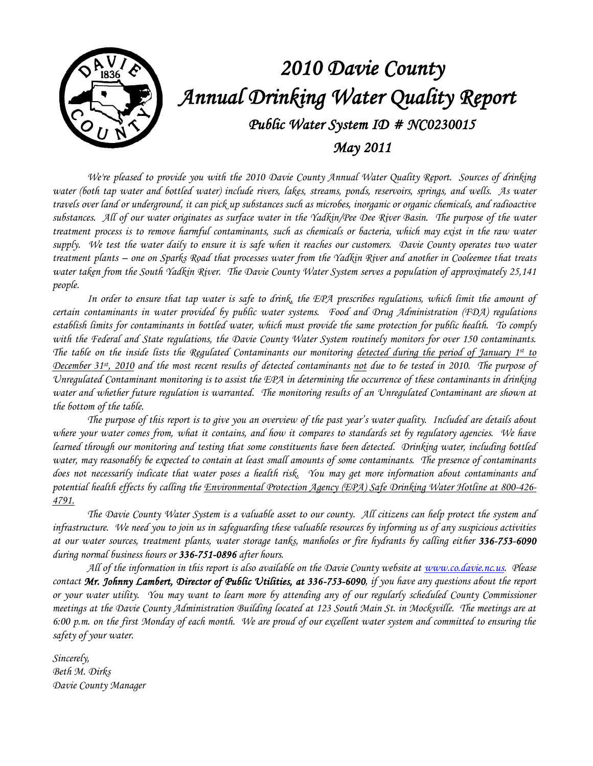

*We're pleased to provide you with the 2010 Davie County Annual Water Quality Report. Sources of drinking water (both tap water and bottled water) include rivers, lakes, streams, ponds, reservoirs, springs, and wells. As water travels over land or underground, it can pick up substances such as microbes, inorganic or organic chemicals, and radioactive substances. All of our water originates as surface water in the Yadkin/Pee Dee River Basin. The purpose of the water treatment process is to remove harmful contaminants, such as chemicals or bacteria, which may exist in the raw water*  supply. We test the water daily to ensure it is safe when it reaches our customers. Davie County operates two water *treatment plants – one on Sparks Road that processes water from the Yadkin River and another in Cooleemee that treats water taken from the South Yadkin River. The Davie County Water System serves a population of approximately 25,141 people.*

*In order to ensure that tap water is safe to drink, the EPA prescribes regulations, which limit the amount of certain contaminants in water provided by public water systems. Food and Drug Administration (FDA) regulations establish limits for contaminants in bottled water, which must provide the same protection for public health. To comply with the Federal and State regulations, the Davie County Water System routinely monitors for over 150 contaminants. The table on the inside lists the Regulated Contaminants our monitoring detected during the period of January 1st to December 31st, 2010 and the most recent results of detected contaminants not due to be tested in 2010. The purpose of Unregulated Contaminant monitoring is to assist the EPA in determining the occurrence of these contaminants in drinking water and whether future regulation is warranted. The monitoring results of an Unregulated Contaminant are shown at the bottom of the table.*

*The purpose of this report is to give you an overview of the past year's water quality. Included are details about where your water comes from, what it contains, and how it compares to standards set by regulatory agencies. We have learned through our monitoring and testing that some constituents have been detected. Drinking water, including bottled water, may reasonably be expected to contain at least small amounts of some contaminants. The presence of contaminants does not necessarily indicate that water poses a health risk. You may get more information about contaminants and potential health effects by calling the Environmental Protection Agency (EPA) Safe Drinking Water Hotline at 800-426- 4791.*

*The Davie County Water System is a valuable asset to our county. All citizens can help protect the system and infrastructure. We need you to join us in safeguarding these valuable resources by informing us of any suspicious activities at our water sources, treatment plants, water storage tanks, manholes or fire hydrants by calling either 336-753-6090 during normal business hours or 336-751-0896 after hours.*

*All of the information in this report is also available on the Davie County website at [www.co.davie.nc.us.](http://www.co.davie.nc.us/) Please contact Mr. Johnny Lambert, Director of Public Utilities, at 336-753-6090, if you have any questions about the report or your water utility. You may want to learn more by attending any of our regularly scheduled County Commissioner meetings at the Davie County Administration Building located at 123 South Main St. in Mocksville. The meetings are at 6:00 p.m. on the first Monday of each month. We are proud of our excellent water system and committed to ensuring the safety of your water.* 

*Sincerely, Beth M. Dirks Davie County Manager*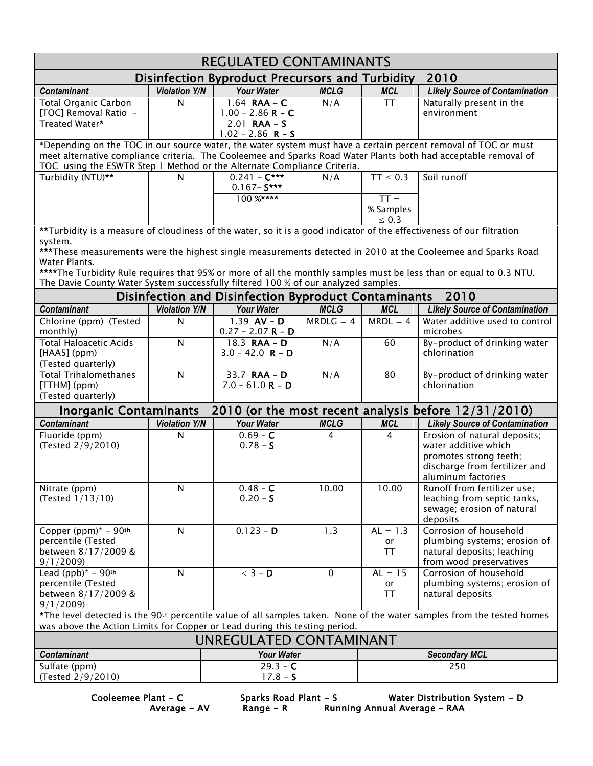| <b>REGULATED CONTAMINANTS</b>                                                                                                                                                                                                                                                                                                                                                                                                                                                                                                                        |                      |                                                                                |                |                                   |                                                                                                                                       |  |  |  |  |
|------------------------------------------------------------------------------------------------------------------------------------------------------------------------------------------------------------------------------------------------------------------------------------------------------------------------------------------------------------------------------------------------------------------------------------------------------------------------------------------------------------------------------------------------------|----------------------|--------------------------------------------------------------------------------|----------------|-----------------------------------|---------------------------------------------------------------------------------------------------------------------------------------|--|--|--|--|
| Disinfection Byproduct Precursors and Turbidity<br>2010                                                                                                                                                                                                                                                                                                                                                                                                                                                                                              |                      |                                                                                |                |                                   |                                                                                                                                       |  |  |  |  |
| <b>Contaminant</b>                                                                                                                                                                                                                                                                                                                                                                                                                                                                                                                                   | <b>Violation Y/N</b> | <b>Your Water</b>                                                              | <b>MCLG</b>    | <b>MCL</b>                        | <b>Likely Source of Contamination</b>                                                                                                 |  |  |  |  |
| <b>Total Organic Carbon</b><br>[TOC] Removal Ratio -<br>Treated Water*                                                                                                                                                                                                                                                                                                                                                                                                                                                                               | $\mathsf{N}$         | 1.64 RAA - $C$<br>$1.00 - 2.86 R - C$<br>$2.01$ RAA - S<br>$1.02 - 2.86$ R - S | N/A            | <b>TT</b>                         | Naturally present in the<br>environment                                                                                               |  |  |  |  |
| *Depending on the TOC in our source water, the water system must have a certain percent removal of TOC or must                                                                                                                                                                                                                                                                                                                                                                                                                                       |                      |                                                                                |                |                                   |                                                                                                                                       |  |  |  |  |
| meet alternative compliance criteria. The Cooleemee and Sparks Road Water Plants both had acceptable removal of<br>TOC using the ESWTR Step 1 Method or the Alternate Compliance Criteria.                                                                                                                                                                                                                                                                                                                                                           |                      |                                                                                |                |                                   |                                                                                                                                       |  |  |  |  |
| Turbidity (NTU)**                                                                                                                                                                                                                                                                                                                                                                                                                                                                                                                                    | $\mathsf{N}$         | $0.241 - C***$                                                                 | N/A            | $TT \leq 0.3$                     | Soil runoff                                                                                                                           |  |  |  |  |
|                                                                                                                                                                                                                                                                                                                                                                                                                                                                                                                                                      |                      | $0.167 - S***$                                                                 |                |                                   |                                                                                                                                       |  |  |  |  |
|                                                                                                                                                                                                                                                                                                                                                                                                                                                                                                                                                      |                      | $100\frac{8***}{*}$                                                            |                | $TT =$<br>% Samples<br>$\leq 0.3$ |                                                                                                                                       |  |  |  |  |
|                                                                                                                                                                                                                                                                                                                                                                                                                                                                                                                                                      |                      |                                                                                |                |                                   |                                                                                                                                       |  |  |  |  |
| **Turbidity is a measure of cloudiness of the water, so it is a good indicator of the effectiveness of our filtration<br>system.<br>***These measurements were the highest single measurements detected in 2010 at the Cooleemee and Sparks Road<br>Water Plants.<br>****The Turbidity Rule requires that 95% or more of all the monthly samples must be less than or equal to 0.3 NTU.<br>The Davie County Water System successfully filtered 100 % of our analyzed samples.<br>2010<br><b>Disinfection and Disinfection Byproduct Contaminants</b> |                      |                                                                                |                |                                   |                                                                                                                                       |  |  |  |  |
| <b>Contaminant</b>                                                                                                                                                                                                                                                                                                                                                                                                                                                                                                                                   | <b>Violation Y/N</b> | <b>Your Water</b>                                                              | <b>MCLG</b>    | <b>MCL</b>                        | <b>Likely Source of Contamination</b>                                                                                                 |  |  |  |  |
| Chlorine (ppm) (Tested                                                                                                                                                                                                                                                                                                                                                                                                                                                                                                                               | N                    | $1.39$ AV – D                                                                  | $MRDLG = 4$    | $MRDL = 4$                        | Water additive used to control                                                                                                        |  |  |  |  |
| monthly)                                                                                                                                                                                                                                                                                                                                                                                                                                                                                                                                             |                      | $0.27 - 2.07 R - D$                                                            |                |                                   | microbes                                                                                                                              |  |  |  |  |
| <b>Total Haloacetic Acids</b><br>[HAA5] (ppm)<br>(Tested quarterly)                                                                                                                                                                                                                                                                                                                                                                                                                                                                                  | $\mathsf{N}$         | 18.3 <b>RAA - D</b><br>$3.0 - 42.0$ R – D                                      | N/A            | 60                                | By-product of drinking water<br>chlorination                                                                                          |  |  |  |  |
| <b>Total Trihalomethanes</b><br>[TTHM] (ppm)<br>(Tested quarterly)                                                                                                                                                                                                                                                                                                                                                                                                                                                                                   | $\mathsf{N}$         | 33.7 <b>RAA - D</b><br>$7.0 - 61.0 R - D$                                      | N/A            | 80                                | By-product of drinking water<br>chlorination                                                                                          |  |  |  |  |
| 2010 (or the most recent analysis before 12/31/2010)<br><b>Inorganic Contaminants</b>                                                                                                                                                                                                                                                                                                                                                                                                                                                                |                      |                                                                                |                |                                   |                                                                                                                                       |  |  |  |  |
| <b>Contaminant</b>                                                                                                                                                                                                                                                                                                                                                                                                                                                                                                                                   | <b>Violation Y/N</b> | <b>Your Water</b>                                                              | <b>MCLG</b>    | <b>MCL</b>                        | <b>Likely Source of Contamination</b>                                                                                                 |  |  |  |  |
| Fluoride (ppm)<br>(Tested 2/9/2010)                                                                                                                                                                                                                                                                                                                                                                                                                                                                                                                  | N                    | $0.69 - C$<br>$0.78 - S$                                                       | $\overline{4}$ | 4                                 | Erosion of natural deposits;<br>water additive which<br>promotes strong teeth;<br>discharge from fertilizer and<br>aluminum factories |  |  |  |  |
| Nitrate (ppm)<br>(Tested 1/13/10)                                                                                                                                                                                                                                                                                                                                                                                                                                                                                                                    | N                    | $0.48 - C$<br>$0.20 - S$                                                       | 10.00          | 10.00                             | Runoff from fertilizer use;<br>leaching from septic tanks,<br>sewage; erosion of natural<br>deposits                                  |  |  |  |  |
| Copper (ppm) $* - 90$ th<br>percentile (Tested<br>between 8/17/2009 &<br>9/1/2009                                                                                                                                                                                                                                                                                                                                                                                                                                                                    | N                    | $0.123 - D$                                                                    | 1.3            | $AL = 1.3$<br>or<br>TT            | Corrosion of household<br>plumbing systems; erosion of<br>natural deposits; leaching<br>from wood preservatives                       |  |  |  |  |
| Lead (ppb)* - $90$ <sup>th</sup>                                                                                                                                                                                                                                                                                                                                                                                                                                                                                                                     | $\mathsf{N}$         | $<$ 3 - D                                                                      | $\mathbf 0$    | $AL = 15$                         | Corrosion of household                                                                                                                |  |  |  |  |
| percentile (Tested<br>between 8/17/2009 &<br>9/1/2009                                                                                                                                                                                                                                                                                                                                                                                                                                                                                                |                      |                                                                                |                | or<br><b>TT</b>                   | plumbing systems; erosion of<br>natural deposits                                                                                      |  |  |  |  |
| *The level detected is the 90 <sup>th</sup> percentile value of all samples taken. None of the water samples from the tested homes<br>was above the Action Limits for Copper or Lead during this testing period.                                                                                                                                                                                                                                                                                                                                     |                      |                                                                                |                |                                   |                                                                                                                                       |  |  |  |  |
| UNREGULATED CONTAMINANT                                                                                                                                                                                                                                                                                                                                                                                                                                                                                                                              |                      |                                                                                |                |                                   |                                                                                                                                       |  |  |  |  |
| <b>Your Water</b><br><b>Contaminant</b>                                                                                                                                                                                                                                                                                                                                                                                                                                                                                                              |                      |                                                                                |                |                                   | <b>Secondary MCL</b>                                                                                                                  |  |  |  |  |
| Sulfate (ppm)                                                                                                                                                                                                                                                                                                                                                                                                                                                                                                                                        |                      | $29.3 - C$                                                                     |                | 250                               |                                                                                                                                       |  |  |  |  |
| $17.8 - S$<br>(Tested 2/9/2010)                                                                                                                                                                                                                                                                                                                                                                                                                                                                                                                      |                      |                                                                                |                |                                   |                                                                                                                                       |  |  |  |  |

Average - AV Range - R Running Annual Average – RAA

Cooleemee Plant - C Sparks Road Plant - S Water Distribution System - D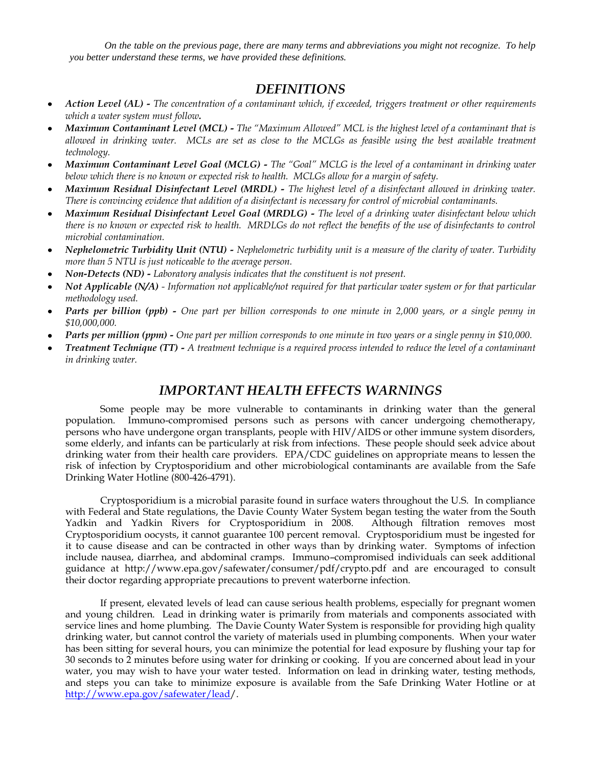*On the table on the previous page, there are many terms and abbreviations you might not recognize. To help you better understand these terms, we have provided these definitions.*

## *DEFINITIONS*

- *Action Level (AL) - The concentration of a contaminant which, if exceeded, triggers treatment or other requirements which a water system must follow.*
- *Maximum Contaminant Level (MCL) - The "Maximum Allowed" MCL is the highest level of a contaminant that is allowed in drinking water. MCLs are set as close to the MCLGs as feasible using the best available treatment technology.*
- *Maximum Contaminant Level Goal (MCLG) - The "Goal" MCLG is the level of a contaminant in drinking water below which there is no known or expected risk to health. MCLGs allow for a margin of safety.*
- *Maximum Residual Disinfectant Level (MRDL) - The highest level of a disinfectant allowed in drinking water. There is convincing evidence that addition of a disinfectant is necessary for control of microbial contaminants.*
- *Maximum Residual Disinfectant Level Goal (MRDLG) - The level of a drinking water disinfectant below which there is no known or expected risk to health. MRDLGs do not reflect the benefits of the use of disinfectants to control microbial contamination.*
- *Nephelometric Turbidity Unit (NTU) - Nephelometric turbidity unit is a measure of the clarity of water. Turbidity more than 5 NTU is just noticeable to the average person.*
- *Non-Detects (ND) - Laboratory analysis indicates that the constituent is not present.*
- *Not Applicable (N/A) - Information not applicable/not required for that particular water system or for that particular methodology used.*
- *Parts per billion (ppb) - One part per billion corresponds to one minute in 2,000 years, or a single penny in \$10,000,000.*
- *Parts per million (ppm) - One part per million corresponds to one minute in two years or a single penny in \$10,000.*
- *Treatment Technique (TT) - A treatment technique is a required process intended to reduce the level of a contaminant in drinking water.*

## *IMPORTANT HEALTH EFFECTS WARNINGS*

Some people may be more vulnerable to contaminants in drinking water than the general population. Immuno-compromised persons such as persons with cancer undergoing chemotherapy, persons who have undergone organ transplants, people with HIV/AIDS or other immune system disorders, some elderly, and infants can be particularly at risk from infections. These people should seek advice about drinking water from their health care providers. EPA/CDC guidelines on appropriate means to lessen the risk of infection by Cryptosporidium and other microbiological contaminants are available from the Safe Drinking Water Hotline (800-426-4791).

Cryptosporidium is a microbial parasite found in surface waters throughout the U.S. In compliance with Federal and State regulations, the Davie County Water System began testing the water from the South Yadkin and Yadkin Rivers for Cryptosporidium in 2008. Although filtration removes most Cryptosporidium oocysts, it cannot guarantee 100 percent removal. Cryptosporidium must be ingested for it to cause disease and can be contracted in other ways than by drinking water. Symptoms of infection include nausea, diarrhea, and abdominal cramps. Immuno–compromised individuals can seek additional guidance at http://www.epa.gov/safewater/consumer/pdf/crypto.pdf and are encouraged to consult their doctor regarding appropriate precautions to prevent waterborne infection.

If present, elevated levels of lead can cause serious health problems, especially for pregnant women and young children. Lead in drinking water is primarily from materials and components associated with service lines and home plumbing. The Davie County Water System is responsible for providing high quality drinking water, but cannot control the variety of materials used in plumbing components. When your water has been sitting for several hours, you can minimize the potential for lead exposure by flushing your tap for 30 seconds to 2 minutes before using water for drinking or cooking. If you are concerned about lead in your water, you may wish to have your water tested. Information on lead in drinking water, testing methods, and steps you can take to minimize exposure is available from the Safe Drinking Water Hotline or at [http://www.epa.gov/safewater/lead/](http://www.epa.gov/safewater/lead).